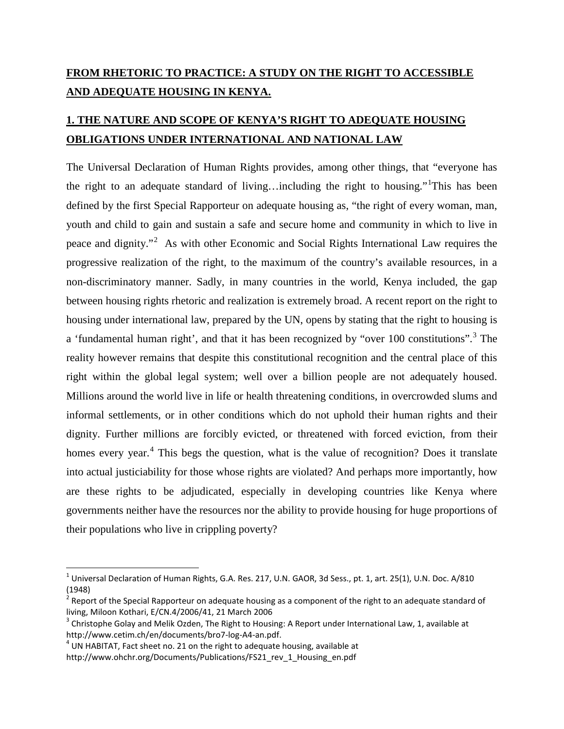## **FROM RHETORIC TO PRACTICE: A STUDY ON THE RIGHT TO ACCESSIBLE AND ADEQUATE HOUSING IN KENYA.**

## **1. THE NATURE AND SCOPE OF KENYA'S RIGHT TO ADEQUATE HOUSING OBLIGATIONS UNDER INTERNATIONAL AND NATIONAL LAW**

The Universal Declaration of Human Rights provides, among other things, that "everyone has the right to an adequate standard of living...including the right to housing."<sup>[1](#page-7-0)</sup>This has been defined by the first Special Rapporteur on adequate housing as, "the right of every woman, man, youth and child to gain and sustain a safe and secure home and community in which to live in peace and dignity."[2](#page-0-0) As with other Economic and Social Rights International Law requires the progressive realization of the right, to the maximum of the country's available resources, in a non-discriminatory manner. Sadly, in many countries in the world, Kenya included, the gap between housing rights rhetoric and realization is extremely broad. A recent report on the right to housing under international law, prepared by the UN, opens by stating that the right to housing is a 'fundamental human right', and that it has been recognized by "over 100 constitutions".<sup>[3](#page-0-1)</sup> The reality however remains that despite this constitutional recognition and the central place of this right within the global legal system; well over a billion people are not adequately housed. Millions around the world live in life or health threatening conditions, in overcrowded slums and informal settlements, or in other conditions which do not uphold their human rights and their dignity. Further millions are forcibly evicted, or threatened with forced eviction, from their homes every year. $4$  This begs the question, what is the value of recognition? Does it translate into actual justiciability for those whose rights are violated? And perhaps more importantly, how are these rights to be adjudicated, especially in developing countries like Kenya where governments neither have the resources nor the ability to provide housing for huge proportions of their populations who live in crippling poverty?

 $^1$  Universal Declaration of Human Rights, G.A. Res. 217, U.N. GAOR, 3d Sess., pt. 1, art. 25(1), U.N. Doc. A/810 (1948)

<span id="page-0-0"></span><sup>2</sup> Report of the Special Rapporteur on adequate housing as a component of the right to an adequate standard of living, Miloon Kothari, E/CN.4/2006/41, 21 March 2006

<span id="page-0-1"></span> $3$  Christophe Golay and Melik Ozden, The Right to Housing: A Report under International Law, 1, available at http://www.cetim.ch/en/documents/bro7-log-A4-an.pdf.<br><sup>4</sup> UN HABITAT, Fact sheet no. 21 on the right to adequate housing, available at

<span id="page-0-2"></span>

http://www.ohchr.org/Documents/Publications/FS21\_rev\_1\_Housing\_en.pdf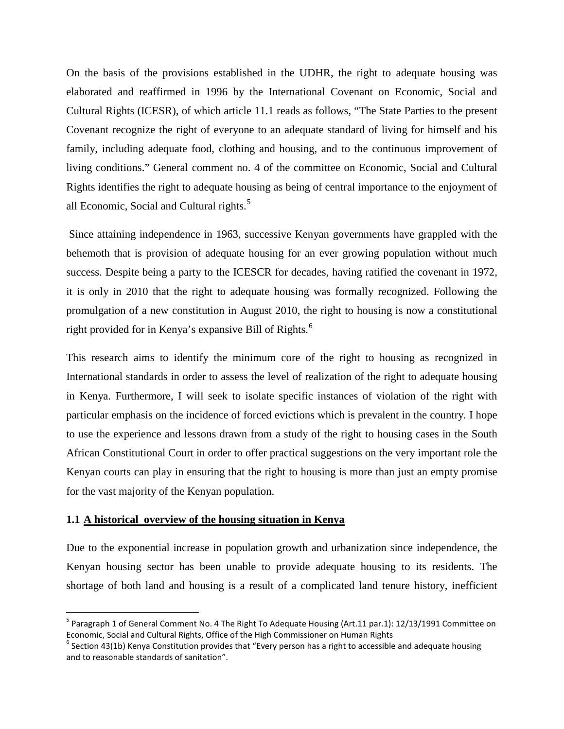On the basis of the provisions established in the UDHR, the right to adequate housing was elaborated and reaffirmed in 1996 by the International Covenant on Economic, Social and Cultural Rights (ICESR), of which article 11.1 reads as follows, "The State Parties to the present Covenant recognize the right of everyone to an adequate standard of living for himself and his family, including adequate food, clothing and housing, and to the continuous improvement of living conditions." General comment no. 4 of the committee on Economic, Social and Cultural Rights identifies the right to adequate housing as being of central importance to the enjoyment of all Economic, Social and Cultural rights.<sup>[5](#page-0-1)</sup>

Since attaining independence in 1963, successive Kenyan governments have grappled with the behemoth that is provision of adequate housing for an ever growing population without much success. Despite being a party to the ICESCR for decades, having ratified the covenant in 1972, it is only in 2010 that the right to adequate housing was formally recognized. Following the promulgation of a new constitution in August 2010, the right to housing is now a constitutional right provided for in Kenya's expansive Bill of Rights.<sup>[6](#page-1-0)</sup>

This research aims to identify the minimum core of the right to housing as recognized in International standards in order to assess the level of realization of the right to adequate housing in Kenya. Furthermore, I will seek to isolate specific instances of violation of the right with particular emphasis on the incidence of forced evictions which is prevalent in the country. I hope to use the experience and lessons drawn from a study of the right to housing cases in the South African Constitutional Court in order to offer practical suggestions on the very important role the Kenyan courts can play in ensuring that the right to housing is more than just an empty promise for the vast majority of the Kenyan population.

#### **1.1 A historical overview of the housing situation in Kenya**

<span id="page-1-1"></span>Due to the exponential increase in population growth and urbanization since independence, the Kenyan housing sector has been unable to provide adequate housing to its residents. The shortage of both land and housing is a result of a complicated land tenure history, inefficient

<sup>&</sup>lt;sup>5</sup> Paragraph 1 of General Comment No. 4 The Right To Adequate Housing (Art.11 par.1): 12/13/1991 Committee on Economic, Social and Cultural Rights, Office of the High Commissioner on Human Rights

<span id="page-1-0"></span> $6$  Section 43(1b) Kenya Constitution provides that "Every person has a right to accessible and adequate housing and to reasonable standards of sanitation".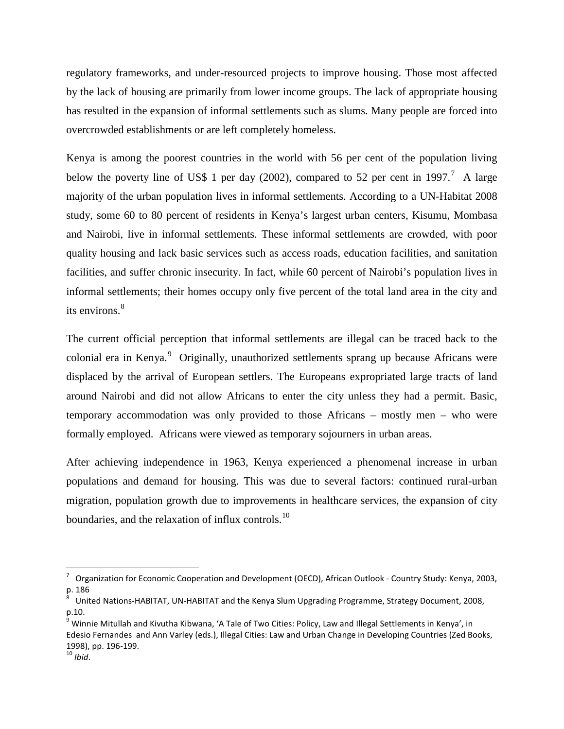regulatory frameworks, and under-resourced projects to improve housing. Those most affected by the lack of housing are primarily from lower income groups. The lack of appropriate housing has resulted in the expansion of informal settlements such as slums. Many people are forced into overcrowded establishments or are left completely homeless.

Kenya is among the poorest countries in the world with 56 per cent of the population living below the poverty line of US\$ 1 per day (2002), compared to 52 per cent in 199[7](#page-1-1).<sup>7</sup> A large majority of the urban population lives in informal settlements. According to a UN-Habitat 2008 study, some 60 to 80 percent of residents in Kenya's largest urban centers, Kisumu, Mombasa and Nairobi, live in informal settlements. These informal settlements are crowded, with poor quality housing and lack basic services such as access roads, education facilities, and sanitation facilities, and suffer chronic insecurity. In fact, while 60 percent of Nairobi's population lives in informal settlements; their homes occupy only five percent of the total land area in the city and its environs.<sup>[8](#page-2-0)</sup>

The current official perception that informal settlements are illegal can be traced back to the colonial era in Kenya.<sup>[9](#page-2-1)</sup> Originally, unauthorized settlements sprang up because Africans were displaced by the arrival of European settlers. The Europeans expropriated large tracts of land around Nairobi and did not allow Africans to enter the city unless they had a permit. Basic, temporary accommodation was only provided to those Africans – mostly men – who were formally employed. Africans were viewed as temporary sojourners in urban areas.

After achieving independence in 1963, Kenya experienced a phenomenal increase in urban populations and demand for housing. This was due to several factors: continued rural-urban migration, population growth due to improvements in healthcare services, the expansion of city boundaries, and the relaxation of influx controls.<sup>[10](#page-2-2)</sup>

<span id="page-2-3"></span> <sup>7</sup> Organization for Economic Cooperation and Development (OECD), African Outlook - Country Study: Kenya, 2003, p. 186

<span id="page-2-0"></span><sup>8</sup> United Nations-HABITAT, UN-HABITAT and the Kenya Slum Upgrading Programme, Strategy Document, 2008, p.10.

<span id="page-2-2"></span><span id="page-2-1"></span><sup>&</sup>lt;sup>9</sup> Winnie Mitullah and Kivutha Kibwana, 'A Tale of Two Cities: Policy, Law and Illegal Settlements in Kenya', in Edesio Fernandes and Ann Varley (eds.), Illegal Cities: Law and Urban Change in Developing Countries (Zed Books, 1998), pp. 196-199. <sup>10</sup> *Ibid*.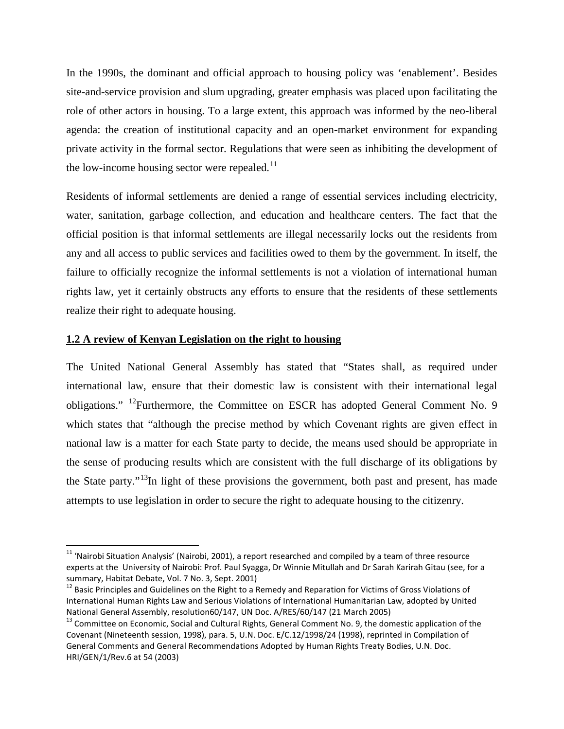In the 1990s, the dominant and official approach to housing policy was 'enablement'. Besides site-and-service provision and slum upgrading, greater emphasis was placed upon facilitating the role of other actors in housing. To a large extent, this approach was informed by the neo-liberal agenda: the creation of institutional capacity and an open-market environment for expanding private activity in the formal sector. Regulations that were seen as inhibiting the development of the low-income housing sector were repealed. $^{11}$  $^{11}$  $^{11}$ 

Residents of informal settlements are denied a range of essential services including electricity, water, sanitation, garbage collection, and education and healthcare centers. The fact that the official position is that informal settlements are illegal necessarily locks out the residents from any and all access to public services and facilities owed to them by the government. In itself, the failure to officially recognize the informal settlements is not a violation of international human rights law, yet it certainly obstructs any efforts to ensure that the residents of these settlements realize their right to adequate housing.

## **1.2 A review of Kenyan Legislation on the right to housing**

The United National General Assembly has stated that "States shall, as required under international law, ensure that their domestic law is consistent with their international legal obligations." [12F](#page-3-0)urthermore, the Committee on ESCR has adopted General Comment No. 9 which states that "although the precise method by which Covenant rights are given effect in national law is a matter for each State party to decide, the means used should be appropriate in the sense of producing results which are consistent with the full discharge of its obligations by the State party."<sup>13</sup>In light of these provisions the government, both past and present, has made attempts to use legislation in order to secure the right to adequate housing to the citizenry.

<sup>&</sup>lt;sup>11</sup> 'Nairobi Situation Analysis' (Nairobi, 2001), a report researched and compiled by a team of three resource experts at the University of Nairobi: Prof. Paul Syagga, Dr Winnie Mitullah and Dr Sarah Karirah Gitau (see, for a summary, Habitat Debate, Vol. 7 No. 3, Sept. 2001)<br><sup>12</sup> Basic Principles and Guidelines on the Right to a Remedy and Reparation for Victims of Gross Violations of

<span id="page-3-0"></span>International Human Rights Law and Serious Violations of International Humanitarian Law, adopted by United National General Assembly, resolution60/147, UN Doc. A/RES/60/147 (21 March 2005)

<span id="page-3-2"></span><span id="page-3-1"></span><sup>&</sup>lt;sup>13</sup> Committee on Economic, Social and Cultural Rights, General Comment No. 9, the domestic application of the Covenant (Nineteenth session, 1998), para. 5, U.N. Doc. E/C.12/1998/24 (1998), reprinted in Compilation of General Comments and General Recommendations Adopted by Human Rights Treaty Bodies, U.N. Doc. HRI/GEN/1/Rev.6 at 54 (2003)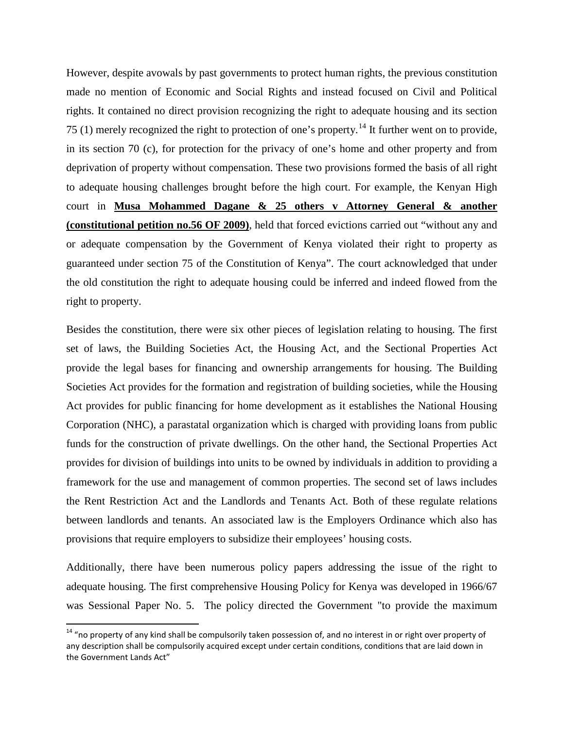However, despite avowals by past governments to protect human rights, the previous constitution made no mention of Economic and Social Rights and instead focused on Civil and Political rights. It contained no direct provision recognizing the right to adequate housing and its section 75 (1) merely recognized the right to protection of one's property.<sup>[14](#page-3-2)</sup> It further went on to provide, in its section 70 (c), for protection for the privacy of one's home and other property and from deprivation of property without compensation. These two provisions formed the basis of all right to adequate housing challenges brought before the high court. For example, the Kenyan High court in **Musa Mohammed Dagane & 25 others v Attorney General & another (constitutional petition no.56 OF 2009)**, held that forced evictions carried out "without any and or adequate compensation by the Government of Kenya violated their right to property as guaranteed under section 75 of the Constitution of Kenya". The court acknowledged that under the old constitution the right to adequate housing could be inferred and indeed flowed from the right to property.

Besides the constitution, there were six other pieces of legislation relating to housing. The first set of laws, the Building Societies Act, the Housing Act, and the Sectional Properties Act provide the legal bases for financing and ownership arrangements for housing. The Building Societies Act provides for the formation and registration of building societies, while the Housing Act provides for public financing for home development as it establishes the National Housing Corporation (NHC), a parastatal organization which is charged with providing loans from public funds for the construction of private dwellings. On the other hand, the Sectional Properties Act provides for division of buildings into units to be owned by individuals in addition to providing a framework for the use and management of common properties. The second set of laws includes the Rent Restriction Act and the Landlords and Tenants Act. Both of these regulate relations between landlords and tenants. An associated law is the Employers Ordinance which also has provisions that require employers to subsidize their employees' housing costs.

Additionally, there have been numerous policy papers addressing the issue of the right to adequate housing. The first comprehensive Housing Policy for Kenya was developed in 1966/67 was Sessional Paper No. 5. The policy directed the Government "to provide the maximum

<span id="page-4-0"></span> $14$  "no property of any kind shall be compulsorily taken possession of, and no interest in or right over property of any description shall be compulsorily acquired except under certain conditions, conditions that are laid down in the Government Lands Act"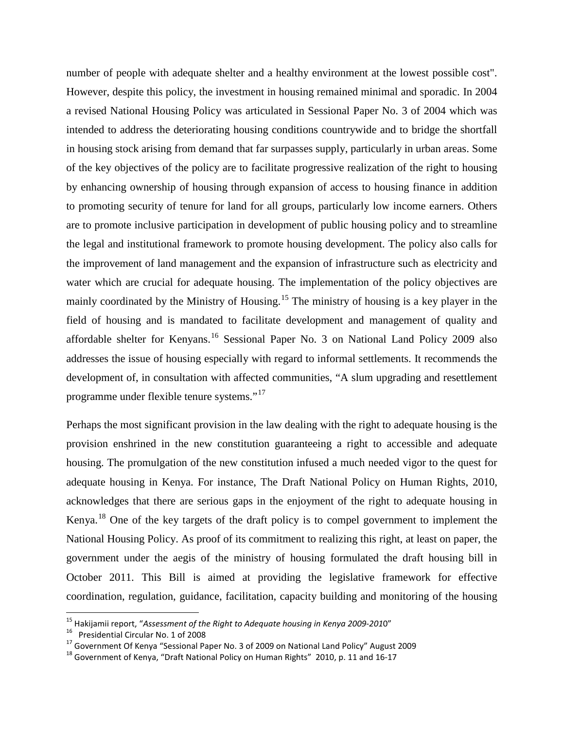number of people with adequate shelter and a healthy environment at the lowest possible cost". However, despite this policy, the investment in housing remained minimal and sporadic. In 2004 a revised National Housing Policy was articulated in Sessional Paper No. 3 of 2004 which was intended to address the deteriorating housing conditions countrywide and to bridge the shortfall in housing stock arising from demand that far surpasses supply, particularly in urban areas. Some of the key objectives of the policy are to facilitate progressive realization of the right to housing by enhancing ownership of housing through expansion of access to housing finance in addition to promoting security of tenure for land for all groups, particularly low income earners. Others are to promote inclusive participation in development of public housing policy and to streamline the legal and institutional framework to promote housing development. The policy also calls for the improvement of land management and the expansion of infrastructure such as electricity and water which are crucial for adequate housing. The implementation of the policy objectives are mainly coordinated by the Ministry of Housing.<sup>[15](#page-4-0)</sup> The ministry of housing is a key player in the field of housing and is mandated to facilitate development and management of quality and affordable shelter for Kenyans.[16](#page-5-0) Sessional Paper No. 3 on National Land Policy 2009 also addresses the issue of housing especially with regard to informal settlements. It recommends the development of, in consultation with affected communities, "A slum upgrading and resettlement programme under flexible tenure systems."[17](#page-5-1)

Perhaps the most significant provision in the law dealing with the right to adequate housing is the provision enshrined in the new constitution guaranteeing a right to accessible and adequate housing. The promulgation of the new constitution infused a much needed vigor to the quest for adequate housing in Kenya. For instance, The Draft National Policy on Human Rights, 2010, acknowledges that there are serious gaps in the enjoyment of the right to adequate housing in Kenya.[18](#page-5-2) One of the key targets of the draft policy is to compel government to implement the National Housing Policy. As proof of its commitment to realizing this right, at least on paper, the government under the aegis of the ministry of housing formulated the draft housing bill in October 2011. This Bill is aimed at providing the legislative framework for effective coordination, regulation, guidance, facilitation, capacity building and monitoring of the housing

<span id="page-5-1"></span><span id="page-5-0"></span>

<sup>&</sup>lt;sup>15</sup> Hakijamii report, "Assessment of the Right to Adequate housing in Kenya 2009-2010"<br><sup>16</sup> Presidential Circular No. 1 of 2008<br><sup>17</sup> Government Of Kenya "Sessional Paper No. 3 of 2009 on National Land Policy" August 2009

<span id="page-5-2"></span>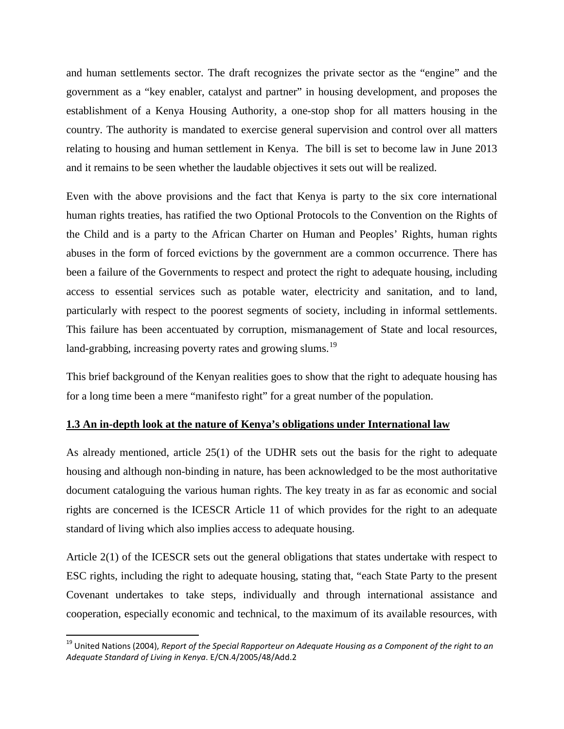and human settlements sector. The draft recognizes the private sector as the "engine" and the government as a "key enabler, catalyst and partner" in housing development, and proposes the establishment of a Kenya Housing Authority, a one-stop shop for all matters housing in the country. The authority is mandated to exercise general supervision and control over all matters relating to housing and human settlement in Kenya. The bill is set to become law in June 2013 and it remains to be seen whether the laudable objectives it sets out will be realized.

Even with the above provisions and the fact that Kenya is party to the six core international human rights treaties, has ratified the two Optional Protocols to the Convention on the Rights of the Child and is a party to the African Charter on Human and Peoples' Rights, human rights abuses in the form of forced evictions by the government are a common occurrence. There has been a failure of the Governments to respect and protect the right to adequate housing, including access to essential services such as potable water, electricity and sanitation, and to land, particularly with respect to the poorest segments of society, including in informal settlements. This failure has been accentuated by corruption, mismanagement of State and local resources, land-grabbing, increasing poverty rates and growing slums.<sup>[19](#page-5-1)</sup>

This brief background of the Kenyan realities goes to show that the right to adequate housing has for a long time been a mere "manifesto right" for a great number of the population.

#### **1.3 An in-depth look at the nature of Kenya's obligations under International law**

As already mentioned, article 25(1) of the UDHR sets out the basis for the right to adequate housing and although non-binding in nature, has been acknowledged to be the most authoritative document cataloguing the various human rights. The key treaty in as far as economic and social rights are concerned is the ICESCR Article 11 of which provides for the right to an adequate standard of living which also implies access to adequate housing.

Article 2(1) of the ICESCR sets out the general obligations that states undertake with respect to ESC rights, including the right to adequate housing, stating that, "each State Party to the present Covenant undertakes to take steps, individually and through international assistance and cooperation, especially economic and technical, to the maximum of its available resources, with

<span id="page-6-0"></span><sup>&</sup>lt;sup>19</sup> United Nations (2004), *Report of the Special Rapporteur on Adequate Housing as a Component of the right to an Adequate Standard of Living in Kenya*. E/CN.4/2005/48/Add.2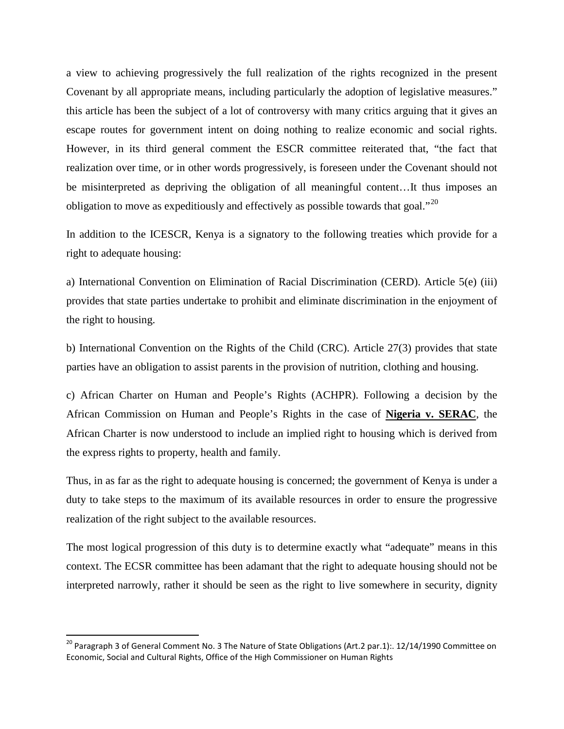a view to achieving progressively the full realization of the rights recognized in the present Covenant by all appropriate means, including particularly the adoption of legislative measures." this article has been the subject of a lot of controversy with many critics arguing that it gives an escape routes for government intent on doing nothing to realize economic and social rights. However, in its third general comment the ESCR committee reiterated that, "the fact that realization over time, or in other words progressively, is foreseen under the Covenant should not be misinterpreted as depriving the obligation of all meaningful content…It thus imposes an obligation to move as expeditiously and effectively as possible towards that goal."[20](#page-6-0)

In addition to the ICESCR, Kenya is a signatory to the following treaties which provide for a right to adequate housing:

a) International Convention on Elimination of Racial Discrimination (CERD). Article 5(e) (iii) provides that state parties undertake to prohibit and eliminate discrimination in the enjoyment of the right to housing.

b) International Convention on the Rights of the Child (CRC). Article 27(3) provides that state parties have an obligation to assist parents in the provision of nutrition, clothing and housing.

c) African Charter on Human and People's Rights (ACHPR). Following a decision by the African Commission on Human and People's Rights in the case of **Nigeria v. SERAC**, the African Charter is now understood to include an implied right to housing which is derived from the express rights to property, health and family.

Thus, in as far as the right to adequate housing is concerned; the government of Kenya is under a duty to take steps to the maximum of its available resources in order to ensure the progressive realization of the right subject to the available resources.

<span id="page-7-0"></span>The most logical progression of this duty is to determine exactly what "adequate" means in this context. The ECSR committee has been adamant that the right to adequate housing should not be interpreted narrowly, rather it should be seen as the right to live somewhere in security, dignity

<span id="page-7-1"></span><sup>&</sup>lt;sup>20</sup> Paragraph 3 of General Comment No. 3 The Nature of State Obligations (Art.2 par.1):. 12/14/1990 Committee on Economic, Social and Cultural Rights, Office of the High Commissioner on Human Rights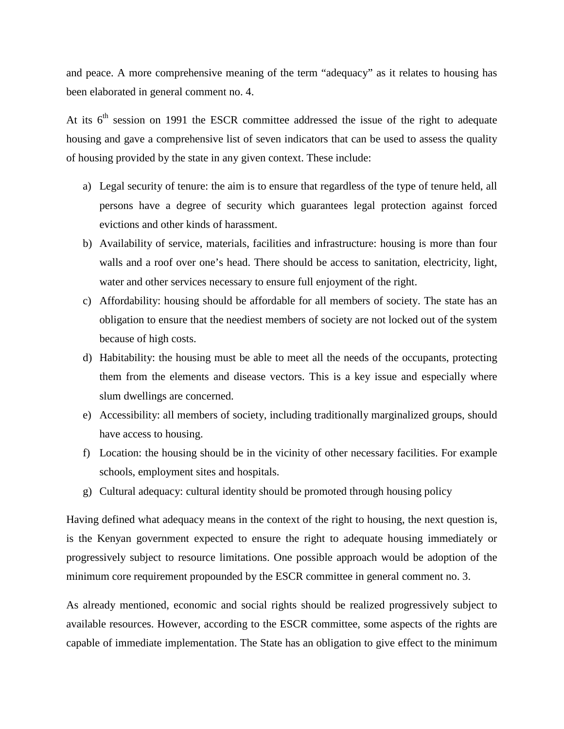and peace. A more comprehensive meaning of the term "adequacy" as it relates to housing has been elaborated in general comment no. 4.

At its  $6<sup>th</sup>$  session on 1991 the ESCR committee addressed the issue of the right to adequate housing and gave a comprehensive list of seven indicators that can be used to assess the quality of housing provided by the state in any given context. These include:

- a) Legal security of tenure: the aim is to ensure that regardless of the type of tenure held, all persons have a degree of security which guarantees legal protection against forced evictions and other kinds of harassment.
- b) Availability of service, materials, facilities and infrastructure: housing is more than four walls and a roof over one's head. There should be access to sanitation, electricity, light, water and other services necessary to ensure full enjoyment of the right.
- c) Affordability: housing should be affordable for all members of society. The state has an obligation to ensure that the neediest members of society are not locked out of the system because of high costs.
- d) Habitability: the housing must be able to meet all the needs of the occupants, protecting them from the elements and disease vectors. This is a key issue and especially where slum dwellings are concerned.
- e) Accessibility: all members of society, including traditionally marginalized groups, should have access to housing.
- f) Location: the housing should be in the vicinity of other necessary facilities. For example schools, employment sites and hospitals.
- g) Cultural adequacy: cultural identity should be promoted through housing policy

Having defined what adequacy means in the context of the right to housing, the next question is, is the Kenyan government expected to ensure the right to adequate housing immediately or progressively subject to resource limitations. One possible approach would be adoption of the minimum core requirement propounded by the ESCR committee in general comment no. 3.

As already mentioned, economic and social rights should be realized progressively subject to available resources. However, according to the ESCR committee, some aspects of the rights are capable of immediate implementation. The State has an obligation to give effect to the minimum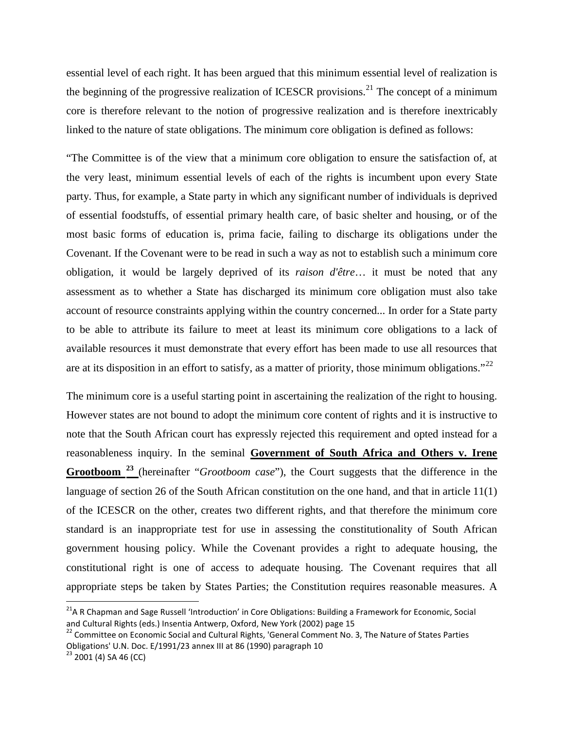essential level of each right. It has been argued that this minimum essential level of realization is the beginning of the progressive realization of ICESCR provisions.<sup>[21](#page-7-1)</sup> The concept of a minimum core is therefore relevant to the notion of progressive realization and is therefore inextricably linked to the nature of state obligations. The minimum core obligation is defined as follows:

"The Committee is of the view that a minimum core obligation to ensure the satisfaction of, at the very least, minimum essential levels of each of the rights is incumbent upon every State party. Thus, for example, a State party in which any significant number of individuals is deprived of essential foodstuffs, of essential primary health care, of basic shelter and housing, or of the most basic forms of education is, prima facie, failing to discharge its obligations under the Covenant. If the Covenant were to be read in such a way as not to establish such a minimum core obligation, it would be largely deprived of its *raison d'être*… it must be noted that any assessment as to whether a State has discharged its minimum core obligation must also take account of resource constraints applying within the country concerned... In order for a State party to be able to attribute its failure to meet at least its minimum core obligations to a lack of available resources it must demonstrate that every effort has been made to use all resources that are at its disposition in an effort to satisfy, as a matter of priority, those minimum obligations." $^{22}$  $^{22}$  $^{22}$ 

The minimum core is a useful starting point in ascertaining the realization of the right to housing. However states are not bound to adopt the minimum core content of rights and it is instructive to note that the South African court has expressly rejected this requirement and opted instead for a reasonableness inquiry. In the seminal **Government of South Africa and Others v. Irene Grootboom [23](#page-9-1)** (hereinafter "*Grootboom case*"), the Court suggests that the difference in the language of section 26 of the South African constitution on the one hand, and that in article 11(1) of the ICESCR on the other, creates two different rights, and that therefore the minimum core standard is an inappropriate test for use in assessing the constitutionality of South African government housing policy. While the Covenant provides a right to adequate housing, the constitutional right is one of access to adequate housing. The Covenant requires that all appropriate steps be taken by States Parties; the Constitution requires reasonable measures. A

<span id="page-9-2"></span><sup>&</sup>lt;sup>21</sup>A R Chapman and Sage Russell 'Introduction' in Core Obligations: Building a Framework for Economic, Social and Cultural Rights (eds.) Insentia Antwerp, Oxford, New York (2002) page 15

<span id="page-9-0"></span><sup>&</sup>lt;sup>22</sup> Committee on Economic Social and Cultural Rights, 'General Comment No. 3, The Nature of States Parties Obligations' U.N. Doc. E/1991/23 annex III at 86 (1990) paragraph 10

<span id="page-9-1"></span> $23$  2001 (4) SA 46 (CC)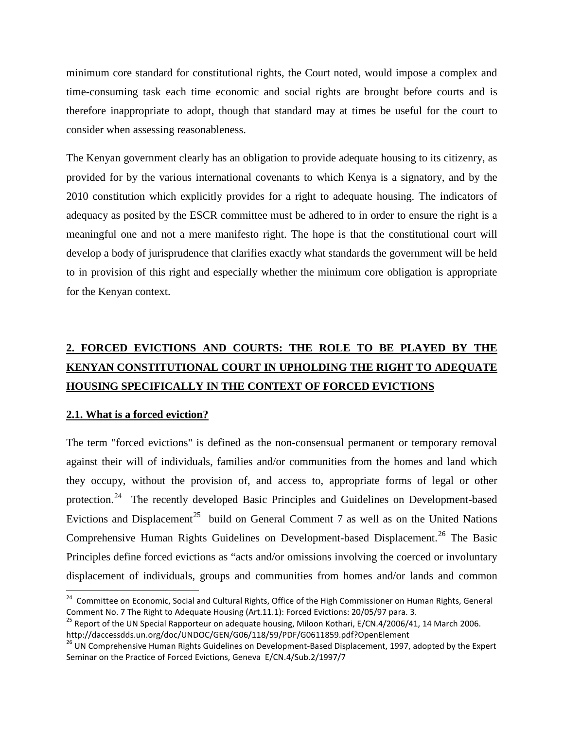minimum core standard for constitutional rights, the Court noted, would impose a complex and time-consuming task each time economic and social rights are brought before courts and is therefore inappropriate to adopt, though that standard may at times be useful for the court to consider when assessing reasonableness.

The Kenyan government clearly has an obligation to provide adequate housing to its citizenry, as provided for by the various international covenants to which Kenya is a signatory, and by the 2010 constitution which explicitly provides for a right to adequate housing. The indicators of adequacy as posited by the ESCR committee must be adhered to in order to ensure the right is a meaningful one and not a mere manifesto right. The hope is that the constitutional court will develop a body of jurisprudence that clarifies exactly what standards the government will be held to in provision of this right and especially whether the minimum core obligation is appropriate for the Kenyan context.

# **2. FORCED EVICTIONS AND COURTS: THE ROLE TO BE PLAYED BY THE KENYAN CONSTITUTIONAL COURT IN UPHOLDING THE RIGHT TO ADEQUATE HOUSING SPECIFICALLY IN THE CONTEXT OF FORCED EVICTIONS**

## **2.1. What is a forced eviction?**

The term "forced evictions" is defined as the non-consensual permanent or temporary removal against their will of individuals, families and/or communities from the homes and land which they occupy, without the provision of, and access to, appropriate forms of legal or other protection.<sup>[24](#page-9-2)</sup> The recently developed Basic Principles and Guidelines on Development-based Evictions and Displacement<sup>[25](#page-10-0)</sup> build on General Comment 7 as well as on the United Nations Comprehensive Human Rights Guidelines on Development-based Displacement.<sup>[26](#page-10-1)</sup> The Basic Principles define forced evictions as "acts and/or omissions involving the coerced or involuntary displacement of individuals, groups and communities from homes and/or lands and common

<span id="page-10-2"></span><sup>&</sup>lt;sup>24</sup> Committee on Economic, Social and Cultural Rights, Office of the High Commissioner on Human Rights, General Comment No. 7 The Right to Adequate Housing (Art.11.1): Forced Evictions: 20/05/97 para. 3.

<span id="page-10-0"></span><sup>&</sup>lt;sup>25</sup> Report of the UN Special Rapporteur on adequate housing, Miloon Kothari, E/CN.4/2006/41, 14 March 2006. http://daccessdds.un.org/doc/UNDOC/GEN/G06/118/59/PDF/G0611859.pdf?OpenElement

<span id="page-10-1"></span><sup>&</sup>lt;sup>26</sup> UN Comprehensive Human Rights Guidelines on Development-Based Displacement, 1997, adopted by the Expert Seminar on the Practice of Forced Evictions, Geneva E/CN.4/Sub.2/1997/7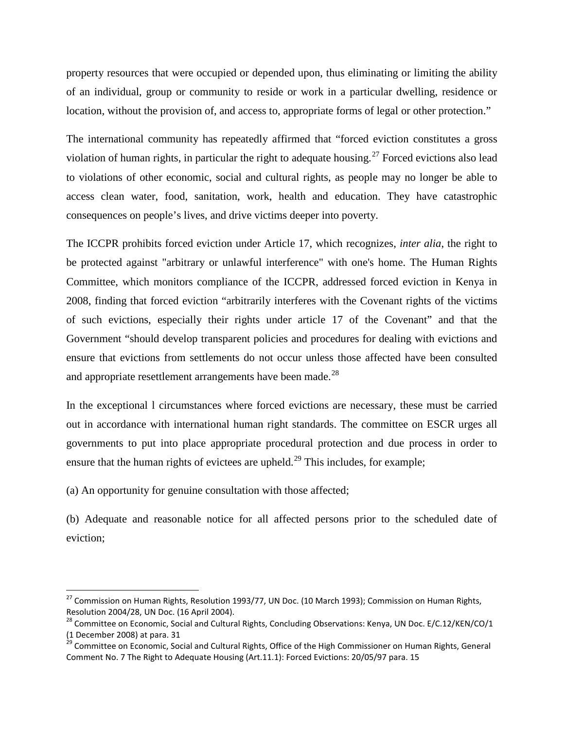property resources that were occupied or depended upon, thus eliminating or limiting the ability of an individual, group or community to reside or work in a particular dwelling, residence or location, without the provision of, and access to, appropriate forms of legal or other protection."

The international community has repeatedly affirmed that "forced eviction constitutes a gross violation of human rights, in particular the right to adequate housing.<sup>[27](#page-10-2)</sup> Forced evictions also lead to violations of other economic, social and cultural rights, as people may no longer be able to access clean water, food, sanitation, work, health and education. They have catastrophic consequences on people's lives, and drive victims deeper into poverty.

The ICCPR prohibits forced eviction under Article 17, which recognizes, *inter alia*, the right to be protected against "arbitrary or unlawful interference" with one's home. The Human Rights Committee, which monitors compliance of the ICCPR, addressed forced eviction in Kenya in 2008, finding that forced eviction "arbitrarily interferes with the Covenant rights of the victims of such evictions, especially their rights under article 17 of the Covenant" and that the Government "should develop transparent policies and procedures for dealing with evictions and ensure that evictions from settlements do not occur unless those affected have been consulted and appropriate resettlement arrangements have been made.<sup>[28](#page-11-0)</sup>

In the exceptional l circumstances where forced evictions are necessary, these must be carried out in accordance with international human right standards. The committee on ESCR urges all governments to put into place appropriate procedural protection and due process in order to ensure that the human rights of evictees are upheld.<sup>[29](#page-11-1)</sup> This includes, for example;

(a) An opportunity for genuine consultation with those affected;

(b) Adequate and reasonable notice for all affected persons prior to the scheduled date of eviction;

<sup>&</sup>lt;sup>27</sup> Commission on Human Rights, Resolution 1993/77, UN Doc. (10 March 1993); Commission on Human Rights, Resolution 2004/28, UN Doc. (16 April 2004).

<span id="page-11-0"></span><sup>&</sup>lt;sup>28</sup> Committee on Economic, Social and Cultural Rights, Concluding Observations: Kenya, UN Doc. E/C.12/KEN/CO/1 (1 December 2008) at para. 31

<span id="page-11-2"></span><span id="page-11-1"></span><sup>&</sup>lt;sup>29</sup> Committee on Economic, Social and Cultural Rights, Office of the High Commissioner on Human Rights, General Comment No. 7 The Right to Adequate Housing (Art.11.1): Forced Evictions: 20/05/97 para. 15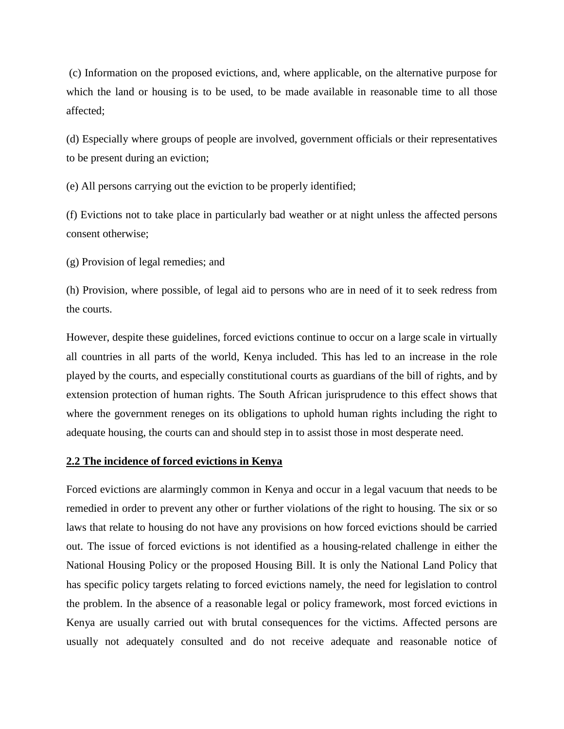(c) Information on the proposed evictions, and, where applicable, on the alternative purpose for which the land or housing is to be used, to be made available in reasonable time to all those affected;

(d) Especially where groups of people are involved, government officials or their representatives to be present during an eviction;

(e) All persons carrying out the eviction to be properly identified;

(f) Evictions not to take place in particularly bad weather or at night unless the affected persons consent otherwise;

(g) Provision of legal remedies; and

(h) Provision, where possible, of legal aid to persons who are in need of it to seek redress from the courts.

However, despite these guidelines, forced evictions continue to occur on a large scale in virtually all countries in all parts of the world, Kenya included. This has led to an increase in the role played by the courts, and especially constitutional courts as guardians of the bill of rights, and by extension protection of human rights. The South African jurisprudence to this effect shows that where the government reneges on its obligations to uphold human rights including the right to adequate housing, the courts can and should step in to assist those in most desperate need.

## **2.2 The incidence of forced evictions in Kenya**

Forced evictions are alarmingly common in Kenya and occur in a legal vacuum that needs to be remedied in order to prevent any other or further violations of the right to housing. The six or so laws that relate to housing do not have any provisions on how forced evictions should be carried out. The issue of forced evictions is not identified as a housing-related challenge in either the National Housing Policy or the proposed Housing Bill. It is only the National Land Policy that has specific policy targets relating to forced evictions namely, the need for legislation to control the problem. In the absence of a reasonable legal or policy framework, most forced evictions in Kenya are usually carried out with brutal consequences for the victims. Affected persons are usually not adequately consulted and do not receive adequate and reasonable notice of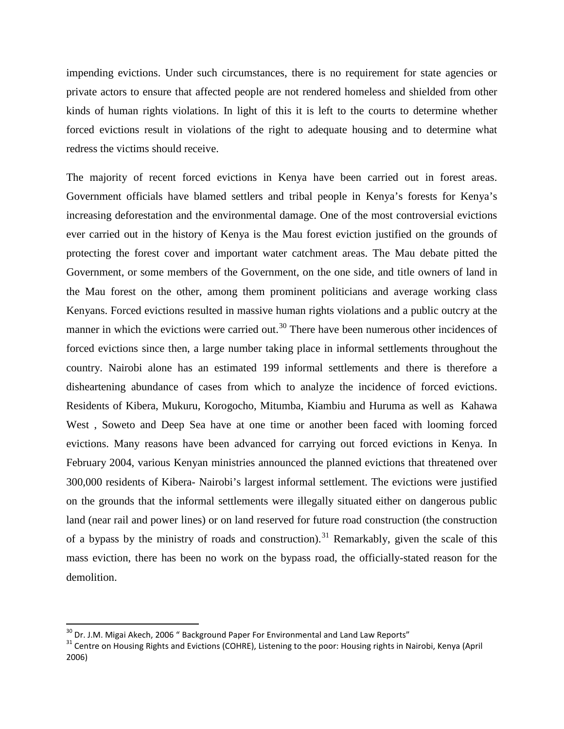impending evictions. Under such circumstances, there is no requirement for state agencies or private actors to ensure that affected people are not rendered homeless and shielded from other kinds of human rights violations. In light of this it is left to the courts to determine whether forced evictions result in violations of the right to adequate housing and to determine what redress the victims should receive.

The majority of recent forced evictions in Kenya have been carried out in forest areas. Government officials have blamed settlers and tribal people in Kenya's forests for Kenya's increasing deforestation and the environmental damage. One of the most controversial evictions ever carried out in the history of Kenya is the Mau forest eviction justified on the grounds of protecting the forest cover and important water catchment areas. The Mau debate pitted the Government, or some members of the Government, on the one side, and title owners of land in the Mau forest on the other, among them prominent politicians and average working class Kenyans. Forced evictions resulted in massive human rights violations and a public outcry at the manner in which the evictions were carried out.<sup>[30](#page-11-2)</sup> There have been numerous other incidences of forced evictions since then, a large number taking place in informal settlements throughout the country. Nairobi alone has an estimated 199 informal settlements and there is therefore a disheartening abundance of cases from which to analyze the incidence of forced evictions. Residents of Kibera, Mukuru, Korogocho, Mitumba, Kiambiu and Huruma as well as Kahawa West , Soweto and Deep Sea have at one time or another been faced with looming forced evictions. Many reasons have been advanced for carrying out forced evictions in Kenya. In February 2004, various Kenyan ministries announced the planned evictions that threatened over 300,000 residents of Kibera- Nairobi's largest informal settlement. The evictions were justified on the grounds that the informal settlements were illegally situated either on dangerous public land (near rail and power lines) or on land reserved for future road construction (the construction of a bypass by the ministry of roads and construction).<sup>[31](#page-13-0)</sup> Remarkably, given the scale of this mass eviction, there has been no work on the bypass road, the officially-stated reason for the demolition.

<span id="page-13-1"></span>

<span id="page-13-0"></span><sup>&</sup>lt;sup>30</sup> Dr. J.M. Migai Akech, 2006 " Background Paper For Environmental and Land Law Reports"<br><sup>31</sup> Centre on Housing Rights and Evictions (COHRE), Listening to the poor: Housing rights in Nairobi, Kenya (April 2006)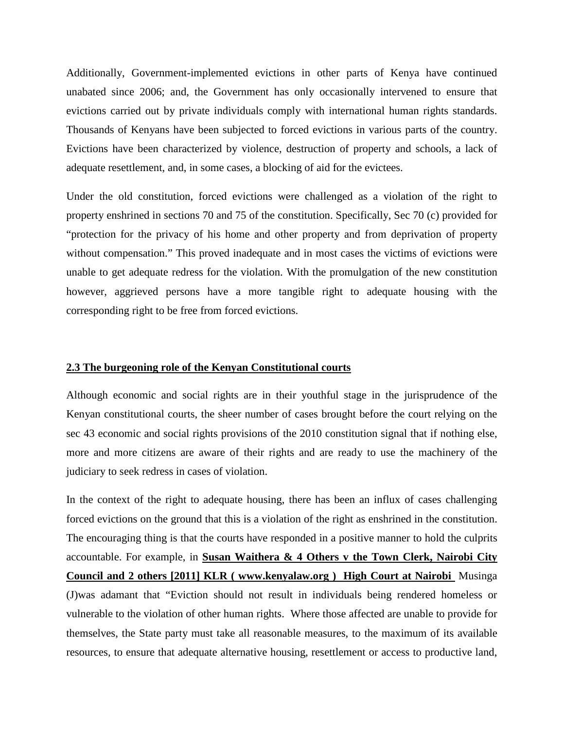Additionally, Government-implemented evictions in other parts of Kenya have continued unabated since 2006; and, the Government has only occasionally intervened to ensure that evictions carried out by private individuals comply with international human rights standards. Thousands of Kenyans have been subjected to forced evictions in various parts of the country. Evictions have been characterized by violence, destruction of property and schools, a lack of adequate resettlement, and, in some cases, a blocking of aid for the evictees.

Under the old constitution, forced evictions were challenged as a violation of the right to property enshrined in sections 70 and 75 of the constitution. Specifically, Sec 70 (c) provided for "protection for the privacy of his home and other property and from deprivation of property without compensation." This proved inadequate and in most cases the victims of evictions were unable to get adequate redress for the violation. With the promulgation of the new constitution however, aggrieved persons have a more tangible right to adequate housing with the corresponding right to be free from forced evictions.

### **2.3 The burgeoning role of the Kenyan Constitutional courts**

Although economic and social rights are in their youthful stage in the jurisprudence of the Kenyan constitutional courts, the sheer number of cases brought before the court relying on the sec 43 economic and social rights provisions of the 2010 constitution signal that if nothing else, more and more citizens are aware of their rights and are ready to use the machinery of the judiciary to seek redress in cases of violation.

In the context of the right to adequate housing, there has been an influx of cases challenging forced evictions on the ground that this is a violation of the right as enshrined in the constitution. The encouraging thing is that the courts have responded in a positive manner to hold the culprits accountable. For example, in **Susan Waithera & 4 Others v the Town Clerk, Nairobi City Council and 2 others [2011] KLR ( www.kenyalaw.org ) High Court at Nairobi** Musinga (J)was adamant that "Eviction should not result in individuals being rendered homeless or vulnerable to the violation of other human rights. Where those affected are unable to provide for themselves, the State party must take all reasonable measures, to the maximum of its available resources, to ensure that adequate alternative housing, resettlement or access to productive land,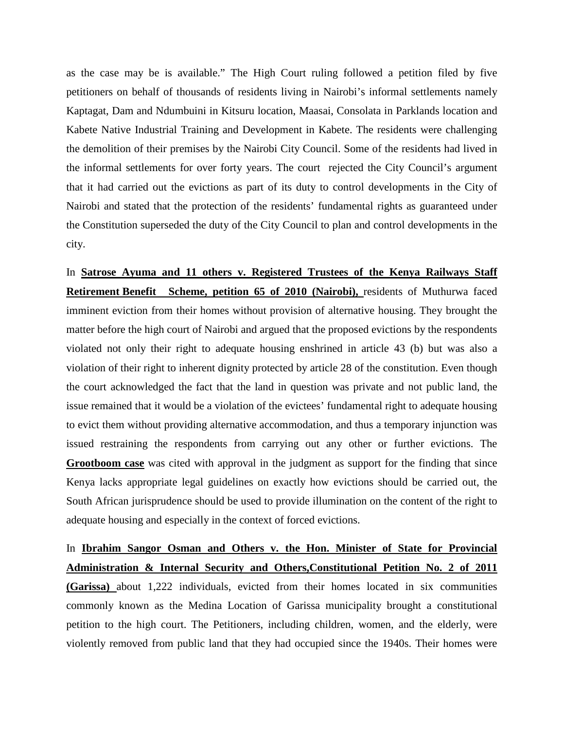as the case may be is available." The High Court ruling followed a petition filed by five petitioners on behalf of thousands of residents living in Nairobi's informal settlements namely Kaptagat, Dam and Ndumbuini in Kitsuru location, Maasai, Consolata in Parklands location and Kabete Native Industrial Training and Development in Kabete. The residents were challenging the demolition of their premises by the Nairobi City Council. Some of the residents had lived in the informal settlements for over forty years. The court rejected the City Council's argument that it had carried out the evictions as part of its duty to control developments in the City of Nairobi and stated that the protection of the residents' fundamental rights as guaranteed under the Constitution superseded the duty of the City Council to plan and control developments in the city.

In **Satrose Ayuma and 11 others v. Registered Trustees of the Kenya Railways Staff Retirement Benefit** Scheme, petition 65 of 2010 (Nairobi), residents of Muthurwa faced imminent eviction from their homes without provision of alternative housing. They brought the matter before the high court of Nairobi and argued that the proposed evictions by the respondents violated not only their right to adequate housing enshrined in article 43 (b) but was also a violation of their right to inherent dignity protected by article 28 of the constitution. Even though the court acknowledged the fact that the land in question was private and not public land, the issue remained that it would be a violation of the evictees' fundamental right to adequate housing to evict them without providing alternative accommodation, and thus a temporary injunction was issued restraining the respondents from carrying out any other or further evictions. The **Grootboom case** was cited with approval in the judgment as support for the finding that since Kenya lacks appropriate legal guidelines on exactly how evictions should be carried out, the South African jurisprudence should be used to provide illumination on the content of the right to adequate housing and especially in the context of forced evictions.

In **Ibrahim Sangor Osman and Others v. the Hon. Minister of State for Provincial Administration & Internal Security and Others,Constitutional Petition No. 2 of 2011 (Garissa)** about 1,222 individuals, evicted from their homes located in six communities commonly known as the Medina Location of Garissa municipality brought a constitutional petition to the high court. The Petitioners, including children, women, and the elderly, were violently removed from public land that they had occupied since the 1940s. Their homes were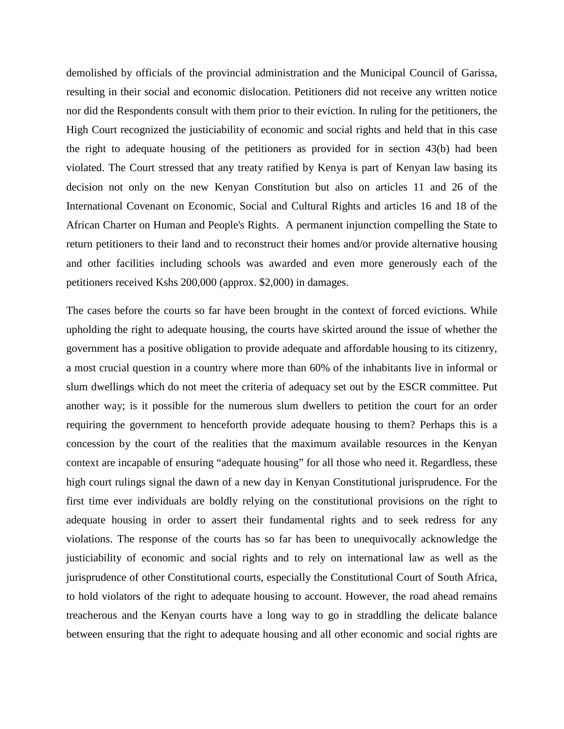demolished by officials of the provincial administration and the Municipal Council of Garissa, resulting in their social and economic dislocation. Petitioners did not receive any written notice nor did the Respondents consult with them prior to their eviction. In ruling for the petitioners, the High Court recognized the justiciability of economic and social rights and held that in this case the right to adequate housing of the petitioners as provided for in section 43(b) had been violated. The Court stressed that any treaty ratified by Kenya is part of Kenyan law basing its decision not only on the new Kenyan Constitution but also on articles 11 and 26 of the International Covenant on Economic, Social and Cultural Rights and articles 16 and 18 of the African Charter on Human and People's Rights. A permanent injunction compelling the State to return petitioners to their land and to reconstruct their homes and/or provide alternative housing and other facilities including schools was awarded and even more generously each of the petitioners received Kshs 200,000 (approx. \$2,000) in damages.

The cases before the courts so far have been brought in the context of forced evictions. While upholding the right to adequate housing, the courts have skirted around the issue of whether the government has a positive obligation to provide adequate and affordable housing to its citizenry, a most crucial question in a country where more than 60% of the inhabitants live in informal or slum dwellings which do not meet the criteria of adequacy set out by the ESCR committee. Put another way; is it possible for the numerous slum dwellers to petition the court for an order requiring the government to henceforth provide adequate housing to them? Perhaps this is a concession by the court of the realities that the maximum available resources in the Kenyan context are incapable of ensuring "adequate housing" for all those who need it. Regardless, these high court rulings signal the dawn of a new day in Kenyan Constitutional jurisprudence. For the first time ever individuals are boldly relying on the constitutional provisions on the right to adequate housing in order to assert their fundamental rights and to seek redress for any violations. The response of the courts has so far has been to unequivocally acknowledge the justiciability of economic and social rights and to rely on international law as well as the jurisprudence of other Constitutional courts, especially the Constitutional Court of South Africa, to hold violators of the right to adequate housing to account. However, the road ahead remains treacherous and the Kenyan courts have a long way to go in straddling the delicate balance between ensuring that the right to adequate housing and all other economic and social rights are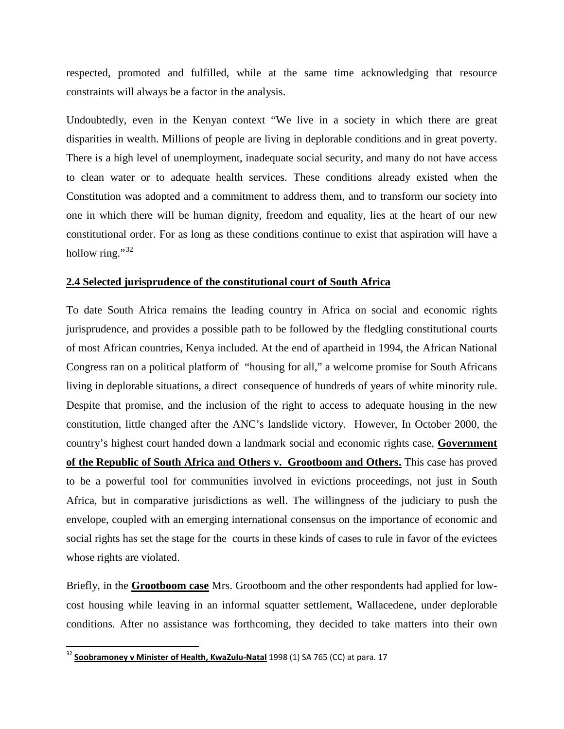respected, promoted and fulfilled, while at the same time acknowledging that resource constraints will always be a factor in the analysis.

Undoubtedly, even in the Kenyan context "We live in a society in which there are great disparities in wealth. Millions of people are living in deplorable conditions and in great poverty. There is a high level of unemployment, inadequate social security, and many do not have access to clean water or to adequate health services. These conditions already existed when the Constitution was adopted and a commitment to address them, and to transform our society into one in which there will be human dignity, freedom and equality, lies at the heart of our new constitutional order. For as long as these conditions continue to exist that aspiration will have a hollow ring."<sup>[32](#page-13-1)</sup>

#### **2.4 Selected jurisprudence of the constitutional court of South Africa**

To date South Africa remains the leading country in Africa on social and economic rights jurisprudence, and provides a possible path to be followed by the fledgling constitutional courts of most African countries, Kenya included. At the end of apartheid in 1994, the African National Congress ran on a political platform of "housing for all," a welcome promise for South Africans living in deplorable situations, a direct consequence of hundreds of years of white minority rule. Despite that promise, and the inclusion of the right to access to adequate housing in the new constitution, little changed after the ANC's landslide victory. However, In October 2000, the country's highest court handed down a landmark social and economic rights case, **Government of the Republic of South Africa and Others v. Grootboom and Others.** This case has proved to be a powerful tool for communities involved in evictions proceedings, not just in South Africa, but in comparative jurisdictions as well. The willingness of the judiciary to push the envelope, coupled with an emerging international consensus on the importance of economic and social rights has set the stage for the courts in these kinds of cases to rule in favor of the evictees whose rights are violated.

Briefly, in the **Grootboom case** Mrs. Grootboom and the other respondents had applied for lowcost housing while leaving in an informal squatter settlement, Wallacedene, under deplorable conditions. After no assistance was forthcoming, they decided to take matters into their own

<span id="page-17-0"></span> <sup>32</sup> **Soobramoney v Minister of Health, KwaZulu-Natal** 1998 (1) SA 765 (CC) at para. 17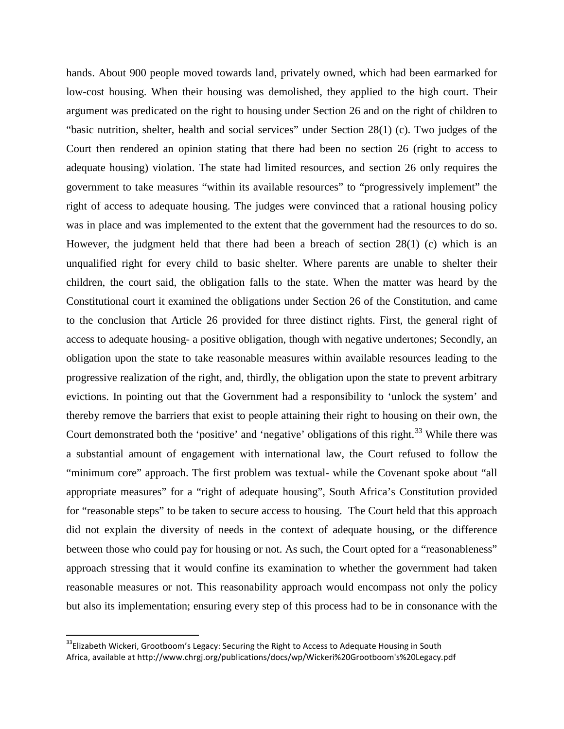hands. About 900 people moved towards land, privately owned, which had been earmarked for low-cost housing. When their housing was demolished, they applied to the high court. Their argument was predicated on the right to housing under Section 26 and on the right of children to "basic nutrition, shelter, health and social services" under Section 28(1) (c). Two judges of the Court then rendered an opinion stating that there had been no section 26 (right to access to adequate housing) violation. The state had limited resources, and section 26 only requires the government to take measures "within its available resources" to "progressively implement" the right of access to adequate housing. The judges were convinced that a rational housing policy was in place and was implemented to the extent that the government had the resources to do so. However, the judgment held that there had been a breach of section 28(1) (c) which is an unqualified right for every child to basic shelter. Where parents are unable to shelter their children, the court said, the obligation falls to the state. When the matter was heard by the Constitutional court it examined the obligations under Section 26 of the Constitution, and came to the conclusion that Article 26 provided for three distinct rights. First, the general right of access to adequate housing- a positive obligation, though with negative undertones; Secondly, an obligation upon the state to take reasonable measures within available resources leading to the progressive realization of the right, and, thirdly, the obligation upon the state to prevent arbitrary evictions. In pointing out that the Government had a responsibility to 'unlock the system' and thereby remove the barriers that exist to people attaining their right to housing on their own, the Court demonstrated both the 'positive' and 'negative' obligations of this right.<sup>[33](#page-17-0)</sup> While there was a substantial amount of engagement with international law, the Court refused to follow the "minimum core" approach. The first problem was textual- while the Covenant spoke about "all appropriate measures" for a "right of adequate housing", South Africa's Constitution provided for "reasonable steps" to be taken to secure access to housing. The Court held that this approach did not explain the diversity of needs in the context of adequate housing, or the difference between those who could pay for housing or not. As such, the Court opted for a "reasonableness" approach stressing that it would confine its examination to whether the government had taken reasonable measures or not. This reasonability approach would encompass not only the policy but also its implementation; ensuring every step of this process had to be in consonance with the

<span id="page-18-0"></span><sup>&</sup>lt;sup>33</sup>Elizabeth Wickeri, Grootboom's Legacy: Securing the Right to Access to Adequate Housing in South Africa, available at http://www.chrgj.org/publications/docs/wp/Wickeri%20Grootboom's%20Legacy.pdf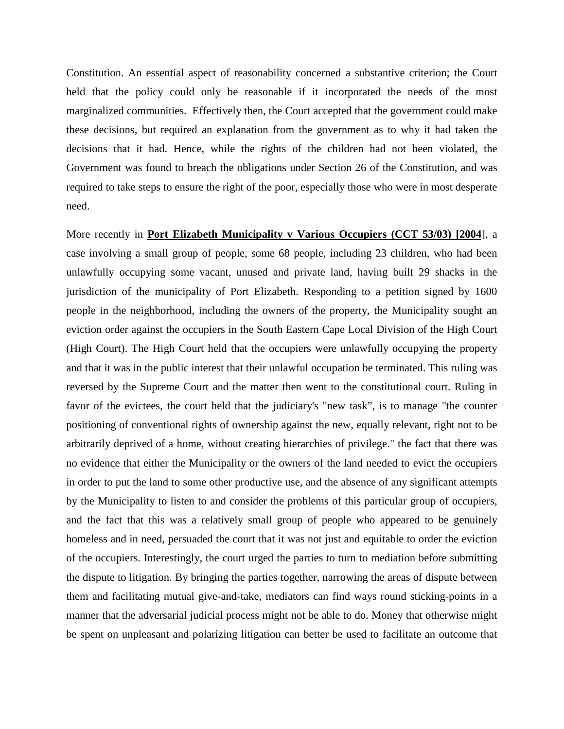Constitution. An essential aspect of reasonability concerned a substantive criterion; the Court held that the policy could only be reasonable if it incorporated the needs of the most marginalized communities. Effectively then, the Court accepted that the government could make these decisions, but required an explanation from the government as to why it had taken the decisions that it had. Hence, while the rights of the children had not been violated, the Government was found to breach the obligations under Section 26 of the Constitution, and was required to take steps to ensure the right of the poor, especially those who were in most desperate need.

More recently in **Port Elizabeth Municipality v Various Occupiers (CCT 53/03) [2004**], a case involving a small group of people, some 68 people, including 23 children, who had been unlawfully occupying some vacant, unused and private land, having built 29 shacks in the jurisdiction of the municipality of Port Elizabeth. Responding to a petition signed by 1600 people in the neighborhood, including the owners of the property, the Municipality sought an eviction order against the occupiers in the South Eastern Cape Local Division of the High Court (High Court). The High Court held that the occupiers were unlawfully occupying the property and that it was in the public interest that their unlawful occupation be terminated. This ruling was reversed by the Supreme Court and the matter then went to the constitutional court. Ruling in favor of the evictees, the court held that the judiciary's "new task", is to manage "the counter positioning of conventional rights of ownership against the new, equally relevant, right not to be arbitrarily deprived of a home, without creating hierarchies of privilege." the fact that there was no evidence that either the Municipality or the owners of the land needed to evict the occupiers in order to put the land to some other productive use, and the absence of any significant attempts by the Municipality to listen to and consider the problems of this particular group of occupiers, and the fact that this was a relatively small group of people who appeared to be genuinely homeless and in need, persuaded the court that it was not just and equitable to order the eviction of the occupiers. Interestingly, the court urged the parties to turn to mediation before submitting the dispute to litigation. By bringing the parties together, narrowing the areas of dispute between them and facilitating mutual give-and-take, mediators can find ways round sticking-points in a manner that the adversarial judicial process might not be able to do. Money that otherwise might be spent on unpleasant and polarizing litigation can better be used to facilitate an outcome that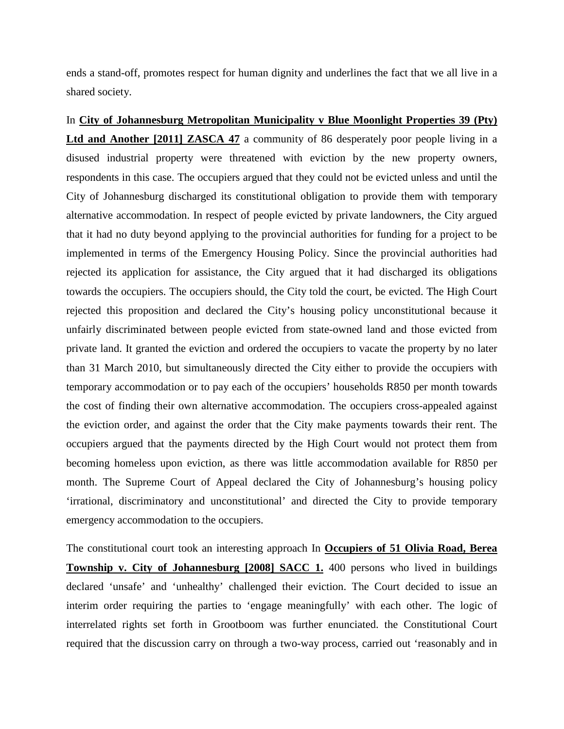ends a stand-off, promotes respect for human dignity and underlines the fact that we all live in a shared society.

In **City of Johannesburg Metropolitan Municipality v Blue Moonlight Properties 39 (Pty) Ltd and Another [2011] ZASCA 47** a community of 86 desperately poor people living in a disused industrial property were threatened with eviction by the new property owners, respondents in this case. The occupiers argued that they could not be evicted unless and until the City of Johannesburg discharged its constitutional obligation to provide them with temporary alternative accommodation. In respect of people evicted by private landowners, the City argued that it had no duty beyond applying to the provincial authorities for funding for a project to be implemented in terms of the Emergency Housing Policy. Since the provincial authorities had rejected its application for assistance, the City argued that it had discharged its obligations towards the occupiers. The occupiers should, the City told the court, be evicted. The High Court rejected this proposition and declared the City's housing policy unconstitutional because it unfairly discriminated between people evicted from state-owned land and those evicted from private land. It granted the eviction and ordered the occupiers to vacate the property by no later than 31 March 2010, but simultaneously directed the City either to provide the occupiers with temporary accommodation or to pay each of the occupiers' households R850 per month towards the cost of finding their own alternative accommodation. The occupiers cross-appealed against the eviction order, and against the order that the City make payments towards their rent. The occupiers argued that the payments directed by the High Court would not protect them from becoming homeless upon eviction, as there was little accommodation available for R850 per month. The Supreme Court of Appeal declared the City of Johannesburg's housing policy 'irrational, discriminatory and unconstitutional' and directed the City to provide temporary emergency accommodation to the occupiers.

The constitutional court took an interesting approach In **Occupiers of 51 Olivia Road, Berea Township v. City of Johannesburg [2008] SACC 1.** 400 persons who lived in buildings declared 'unsafe' and 'unhealthy' challenged their eviction. The Court decided to issue an interim order requiring the parties to 'engage meaningfully' with each other. The logic of interrelated rights set forth in Grootboom was further enunciated. the Constitutional Court required that the discussion carry on through a two-way process, carried out 'reasonably and in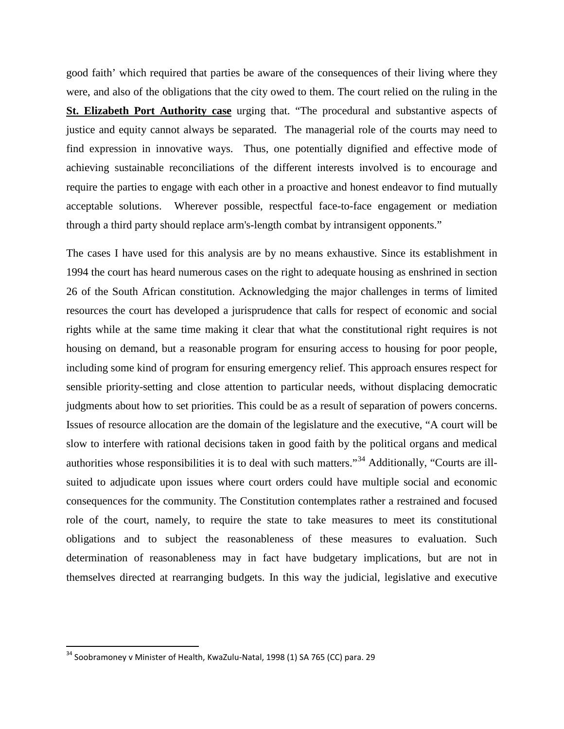good faith' which required that parties be aware of the consequences of their living where they were, and also of the obligations that the city owed to them. The court relied on the ruling in the **St. Elizabeth Port Authority case** urging that. "The procedural and substantive aspects of justice and equity cannot always be separated. The managerial role of the courts may need to find expression in innovative ways. Thus, one potentially dignified and effective mode of achieving sustainable reconciliations of the different interests involved is to encourage and require the parties to engage with each other in a proactive and honest endeavor to find mutually acceptable solutions. Wherever possible, respectful face-to-face engagement or mediation through a third party should replace arm's-length combat by intransigent opponents."

The cases I have used for this analysis are by no means exhaustive. Since its establishment in 1994 the court has heard numerous cases on the right to adequate housing as enshrined in section 26 of the South African constitution. Acknowledging the major challenges in terms of limited resources the court has developed a jurisprudence that calls for respect of economic and social rights while at the same time making it clear that what the constitutional right requires is not housing on demand, but a reasonable program for ensuring access to housing for poor people, including some kind of program for ensuring emergency relief. This approach ensures respect for sensible priority-setting and close attention to particular needs, without displacing democratic judgments about how to set priorities. This could be as a result of separation of powers concerns. Issues of resource allocation are the domain of the legislature and the executive, "A court will be slow to interfere with rational decisions taken in good faith by the political organs and medical authorities whose responsibilities it is to deal with such matters."[34](#page-18-0) Additionally, "Courts are illsuited to adjudicate upon issues where court orders could have multiple social and economic consequences for the community. The Constitution contemplates rather a restrained and focused role of the court, namely, to require the state to take measures to meet its constitutional obligations and to subject the reasonableness of these measures to evaluation. Such determination of reasonableness may in fact have budgetary implications, but are not in themselves directed at rearranging budgets. In this way the judicial, legislative and executive

<span id="page-21-0"></span><sup>&</sup>lt;sup>34</sup> Soobramoney v Minister of Health, KwaZulu-Natal, 1998 (1) SA 765 (CC) para. 29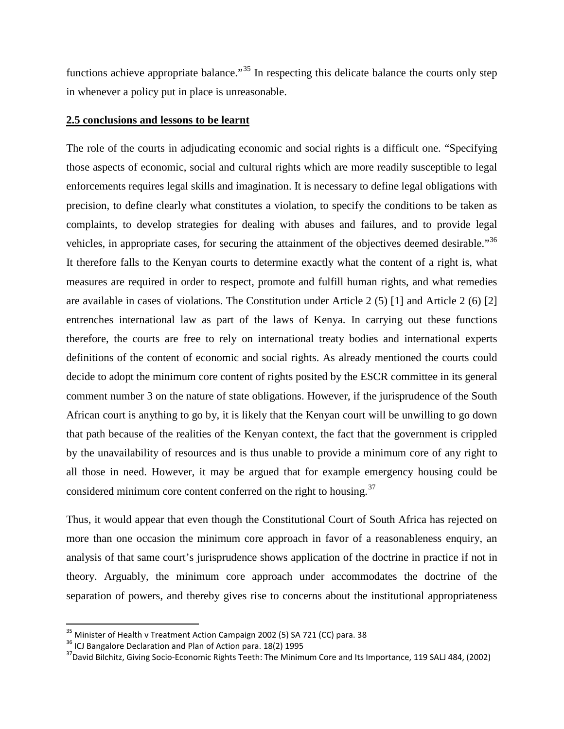functions achieve appropriate balance.<sup> $35$ </sup> In respecting this delicate balance the courts only step in whenever a policy put in place is unreasonable.

#### **2.5 conclusions and lessons to be learnt**

The role of the courts in adjudicating economic and social rights is a difficult one. "Specifying those aspects of economic, social and cultural rights which are more readily susceptible to legal enforcements requires legal skills and imagination. It is necessary to define legal obligations with precision, to define clearly what constitutes a violation, to specify the conditions to be taken as complaints, to develop strategies for dealing with abuses and failures, and to provide legal vehicles, in appropriate cases, for securing the attainment of the objectives deemed desirable."<sup>[36](#page-22-0)</sup> It therefore falls to the Kenyan courts to determine exactly what the content of a right is, what measures are required in order to respect, promote and fulfill human rights, and what remedies are available in cases of violations. The Constitution under Article 2 (5) [1] and Article 2 (6) [2] entrenches international law as part of the laws of Kenya. In carrying out these functions therefore, the courts are free to rely on international treaty bodies and international experts definitions of the content of economic and social rights. As already mentioned the courts could decide to adopt the minimum core content of rights posited by the ESCR committee in its general comment number 3 on the nature of state obligations. However, if the jurisprudence of the South African court is anything to go by, it is likely that the Kenyan court will be unwilling to go down that path because of the realities of the Kenyan context, the fact that the government is crippled by the unavailability of resources and is thus unable to provide a minimum core of any right to all those in need. However, it may be argued that for example emergency housing could be considered minimum core content conferred on the right to housing.<sup>[37](#page-22-1)</sup>

Thus, it would appear that even though the Constitutional Court of South Africa has rejected on more than one occasion the minimum core approach in favor of a reasonableness enquiry, an analysis of that same court's jurisprudence shows application of the doctrine in practice if not in theory. Arguably, the minimum core approach under accommodates the doctrine of the separation of powers, and thereby gives rise to concerns about the institutional appropriateness

<span id="page-22-1"></span><span id="page-22-0"></span>

<span id="page-22-2"></span><sup>&</sup>lt;sup>35</sup> Minister of Health v Treatment Action Campaign 2002 (5) SA 721 (CC) para. 38<br><sup>36</sup> ICJ Bangalore Declaration and Plan of Action para. 18(2) 1995<br><sup>37</sup> David Bilchitz, Giving Socio-Economic Rights Teeth: The Minimum Cor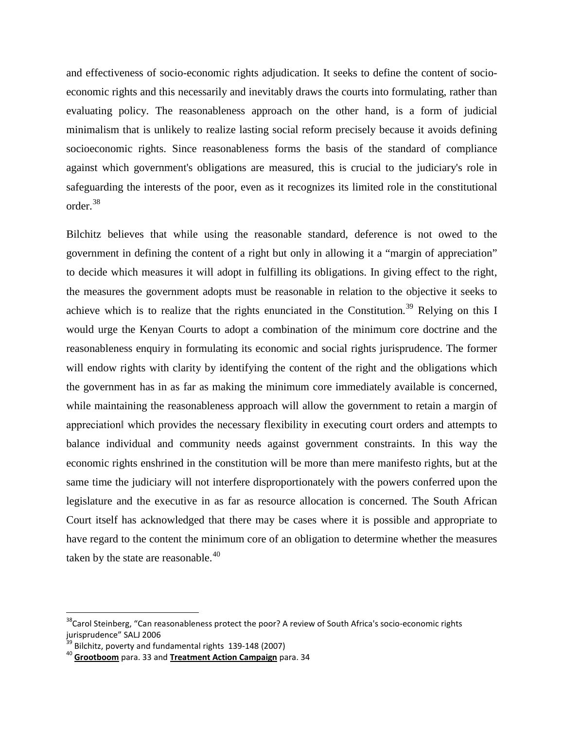and effectiveness of socio-economic rights adjudication. It seeks to define the content of socioeconomic rights and this necessarily and inevitably draws the courts into formulating, rather than evaluating policy. The reasonableness approach on the other hand, is a form of judicial minimalism that is unlikely to realize lasting social reform precisely because it avoids defining socioeconomic rights. Since reasonableness forms the basis of the standard of compliance against which government's obligations are measured, this is crucial to the judiciary's role in safeguarding the interests of the poor, even as it recognizes its limited role in the constitutional order.<sup>[38](#page-22-2)</sup>

Bilchitz believes that while using the reasonable standard, deference is not owed to the government in defining the content of a right but only in allowing it a "margin of appreciation" to decide which measures it will adopt in fulfilling its obligations. In giving effect to the right, the measures the government adopts must be reasonable in relation to the objective it seeks to achieve which is to realize that the rights enunciated in the Constitution.<sup>[39](#page-23-0)</sup> Relying on this I would urge the Kenyan Courts to adopt a combination of the minimum core doctrine and the reasonableness enquiry in formulating its economic and social rights jurisprudence. The former will endow rights with clarity by identifying the content of the right and the obligations which the government has in as far as making the minimum core immediately available is concerned, while maintaining the reasonableness approach will allow the government to retain a margin of appreciation‖ which provides the necessary flexibility in executing court orders and attempts to balance individual and community needs against government constraints. In this way the economic rights enshrined in the constitution will be more than mere manifesto rights, but at the same time the judiciary will not interfere disproportionately with the powers conferred upon the legislature and the executive in as far as resource allocation is concerned. The South African Court itself has acknowledged that there may be cases where it is possible and appropriate to have regard to the content the minimum core of an obligation to determine whether the measures taken by the state are reasonable.<sup>[40](#page-23-1)</sup>

<sup>&</sup>lt;sup>38</sup>Carol Steinberg, "Can reasonableness protect the poor? A review of South Africa's socio-economic rights jurisprudence" SALJ 2006<br><sup>39</sup> Bilchitz, poverty and fundamental rights 139-148 (2007)<br><sup>40</sup> **Grootboom** para. 33 and **Treatment Action Campaign** para. 34

<span id="page-23-0"></span>

<span id="page-23-1"></span>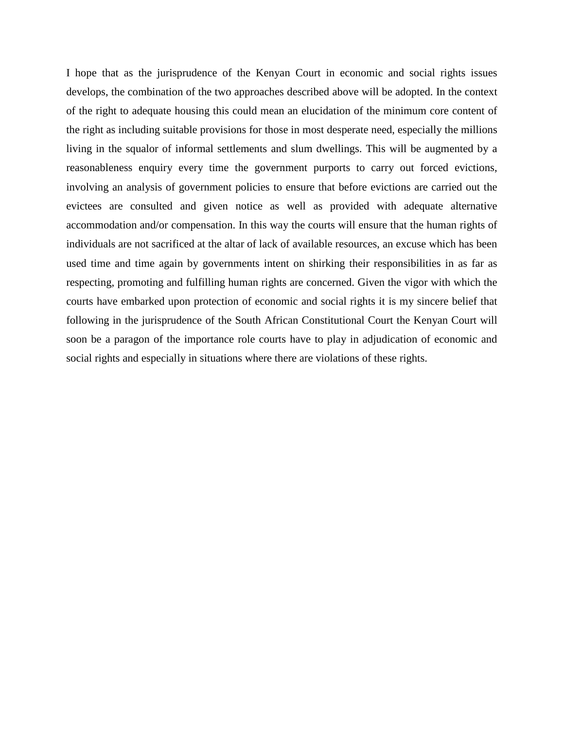I hope that as the jurisprudence of the Kenyan Court in economic and social rights issues develops, the combination of the two approaches described above will be adopted. In the context of the right to adequate housing this could mean an elucidation of the minimum core content of the right as including suitable provisions for those in most desperate need, especially the millions living in the squalor of informal settlements and slum dwellings. This will be augmented by a reasonableness enquiry every time the government purports to carry out forced evictions, involving an analysis of government policies to ensure that before evictions are carried out the evictees are consulted and given notice as well as provided with adequate alternative accommodation and/or compensation. In this way the courts will ensure that the human rights of individuals are not sacrificed at the altar of lack of available resources, an excuse which has been used time and time again by governments intent on shirking their responsibilities in as far as respecting, promoting and fulfilling human rights are concerned. Given the vigor with which the courts have embarked upon protection of economic and social rights it is my sincere belief that following in the jurisprudence of the South African Constitutional Court the Kenyan Court will soon be a paragon of the importance role courts have to play in adjudication of economic and social rights and especially in situations where there are violations of these rights.